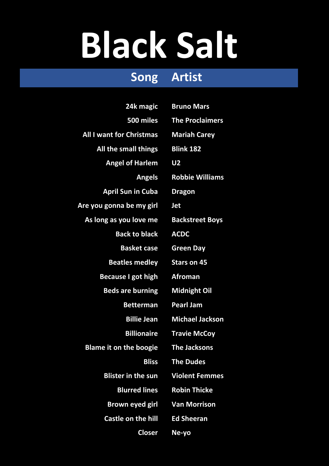## **Black Salt**

## **Song Artist**

| 24k magic                       | <b>Bruno Mars</b>      |
|---------------------------------|------------------------|
| 500 miles                       | <b>The Proclaimers</b> |
| <b>All I want for Christmas</b> | <b>Mariah Carey</b>    |
| All the small things            | <b>Blink 182</b>       |
| <b>Angel of Harlem</b>          | <b>U2</b>              |
| <b>Angels</b>                   | <b>Robbie Williams</b> |
| <b>April Sun in Cuba</b>        | <b>Dragon</b>          |
| Are you gonna be my girl        | <b>Jet</b>             |
| As long as you love me          | <b>Backstreet Boys</b> |
| <b>Back to black</b>            | <b>ACDC</b>            |
| <b>Basket case</b>              | <b>Green Day</b>       |
| <b>Beatles medley</b>           | <b>Stars on 45</b>     |
| <b>Because I got high</b>       | <b>Afroman</b>         |
| <b>Beds are burning</b>         | <b>Midnight Oil</b>    |
| <b>Betterman</b>                | <b>Pearl Jam</b>       |
| <b>Billie Jean</b>              | <b>Michael Jackson</b> |
| <b>Billionaire</b>              | <b>Travie McCoy</b>    |
| <b>Blame it on the boogie</b>   | <b>The Jacksons</b>    |
| <b>Bliss</b>                    | <b>The Dudes</b>       |
| <b>Blister in the sun</b>       | <b>Violent Femmes</b>  |
| <b>Blurred lines</b>            | <b>Robin Thicke</b>    |
| <b>Brown eyed girl</b>          | <b>Van Morrison</b>    |
| <b>Castle on the hill</b>       | <b>Ed Sheeran</b>      |
| <b>Closer</b>                   | Ne-yo                  |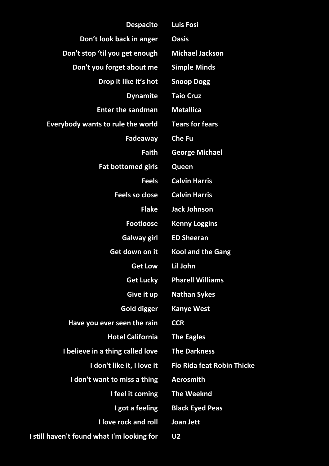| <b>Despacito</b>                           | <b>Luis Fosi</b>                  |
|--------------------------------------------|-----------------------------------|
| Don't look back in anger                   | <b>Oasis</b>                      |
| Don't stop 'til you get enough             | <b>Michael Jackson</b>            |
| Don't you forget about me                  | <b>Simple Minds</b>               |
| Drop it like it's hot                      | <b>Snoop Dogg</b>                 |
| <b>Dynamite</b>                            | <b>Taio Cruz</b>                  |
| <b>Enter the sandman</b>                   | <b>Metallica</b>                  |
| <b>Everybody wants to rule the world</b>   | <b>Tears for fears</b>            |
| Fadeaway                                   | <b>Che Fu</b>                     |
| <b>Faith</b>                               | <b>George Michael</b>             |
| <b>Fat bottomed girls</b>                  | Queen                             |
| <b>Feels</b>                               | <b>Calvin Harris</b>              |
| <b>Feels so close</b>                      | <b>Calvin Harris</b>              |
| <b>Flake</b>                               | <b>Jack Johnson</b>               |
| <b>Footloose</b>                           | <b>Kenny Loggins</b>              |
| <b>Galway girl</b>                         | <b>ED Sheeran</b>                 |
| Get down on it                             | <b>Kool and the Gang</b>          |
| <b>Get Low</b>                             | Lil John                          |
| <b>Get Lucky</b>                           | <b>Pharell Williams</b>           |
| Give it up                                 | <b>Nathan Sykes</b>               |
| <b>Gold digger</b>                         | <b>Kanye West</b>                 |
| Have you ever seen the rain                | <b>CCR</b>                        |
| <b>Hotel California</b>                    | <b>The Eagles</b>                 |
| I believe in a thing called love           | <b>The Darkness</b>               |
| I don't like it, I love it                 | <b>Flo Rida feat Robin Thicke</b> |
| I don't want to miss a thing               | <b>Aerosmith</b>                  |
| I feel it coming                           | <b>The Weeknd</b>                 |
| I got a feeling                            | <b>Black Eyed Peas</b>            |
| I love rock and roll                       | Joan Jett                         |
| I still haven't found what I'm looking for | <b>U2</b>                         |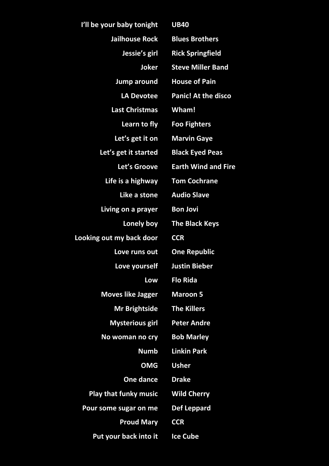| I'll be your baby tonight    | <b>UB40</b>                |
|------------------------------|----------------------------|
| Jailhouse Rock               | <b>Blues Brothers</b>      |
| Jessie's girl                | <b>Rick Springfield</b>    |
| Joker                        | <b>Steve Miller Band</b>   |
| <b>Jump around</b>           | <b>House of Pain</b>       |
| <b>LA Devotee</b>            | <b>Panic! At the disco</b> |
| <b>Last Christmas</b>        | Wham!                      |
| Learn to fly                 | <b>Foo Fighters</b>        |
| Let's get it on              | <b>Marvin Gaye</b>         |
| Let's get it started         | <b>Black Eyed Peas</b>     |
| Let's Groove                 | <b>Earth Wind and Fire</b> |
| Life is a highway            | <b>Tom Cochrane</b>        |
| Like a stone                 | <b>Audio Slave</b>         |
| Living on a prayer           | <b>Bon Jovi</b>            |
| Lonely boy                   | <b>The Black Keys</b>      |
| Looking out my back door     | <b>CCR</b>                 |
| Love runs out                | <b>One Republic</b>        |
| Love yourself                | <b>Justin Bieber</b>       |
| Low                          | <b>Flo Rida</b>            |
| <b>Moves like Jagger</b>     | <b>Maroon 5</b>            |
| <b>Mr Brightside</b>         | <b>The Killers</b>         |
| <b>Mysterious girl</b>       | <b>Peter Andre</b>         |
| No woman no cry              | <b>Bob Marley</b>          |
| Numb                         | <b>Linkin Park</b>         |
| <b>OMG</b>                   | <b>Usher</b>               |
| One dance                    | <b>Drake</b>               |
| <b>Play that funky music</b> | <b>Wild Cherry</b>         |
| Pour some sugar on me        | <b>Def Leppard</b>         |
| <b>Proud Mary</b>            | <b>CCR</b>                 |
| Put your back into it        | <b>Ice Cube</b>            |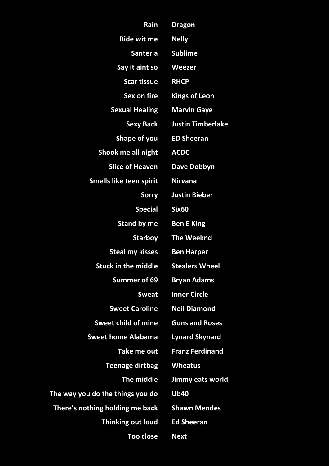| Rain                             | <b>Dragon</b>            |
|----------------------------------|--------------------------|
| <b>Ride wit me</b>               | <b>Nelly</b>             |
| <b>Santeria</b>                  | <b>Sublime</b>           |
| Say it aint so                   | Weezer                   |
| <b>Scar tissue</b>               | <b>RHCP</b>              |
| Sex on fire                      | <b>Kings of Leon</b>     |
| <b>Sexual Healing</b>            | <b>Marvin Gaye</b>       |
| <b>Sexy Back</b>                 | <b>Justin Timberlake</b> |
| Shape of you                     | <b>ED Sheeran</b>        |
| Shook me all night               | <b>ACDC</b>              |
| <b>Slice of Heaven</b>           | Dave Dobbyn              |
| <b>Smells like teen spirit</b>   | <b>Nirvana</b>           |
| Sorry                            | <b>Justin Bieber</b>     |
| <b>Special</b>                   | <b>Six60</b>             |
| <b>Stand by me</b>               | <b>Ben E King</b>        |
| <b>Starboy</b>                   | <b>The Weeknd</b>        |
| <b>Steal my kisses</b>           | <b>Ben Harper</b>        |
| <b>Stuck in the middle</b>       | <b>Stealers Wheel</b>    |
| <b>Summer of 69</b>              | <b>Bryan Adams</b>       |
| <b>Sweat</b>                     | <b>Inner Circle</b>      |
| <b>Sweet Caroline</b>            | <b>Neil Diamond</b>      |
| <b>Sweet child of mine</b>       | <b>Guns and Roses</b>    |
| <b>Sweet home Alabama</b>        | <b>Lynard Skynard</b>    |
| Take me out                      | <b>Franz Ferdinand</b>   |
| <b>Teenage dirtbag</b>           | <b>Wheatus</b>           |
| The middle                       | Jimmy eats world         |
| The way you do the things you do | <b>Ub40</b>              |
| There's nothing holding me back  | <b>Shawn Mendes</b>      |
| <b>Thinking out loud</b>         | <b>Ed Sheeran</b>        |
| <b>Too close</b>                 | <b>Next</b>              |